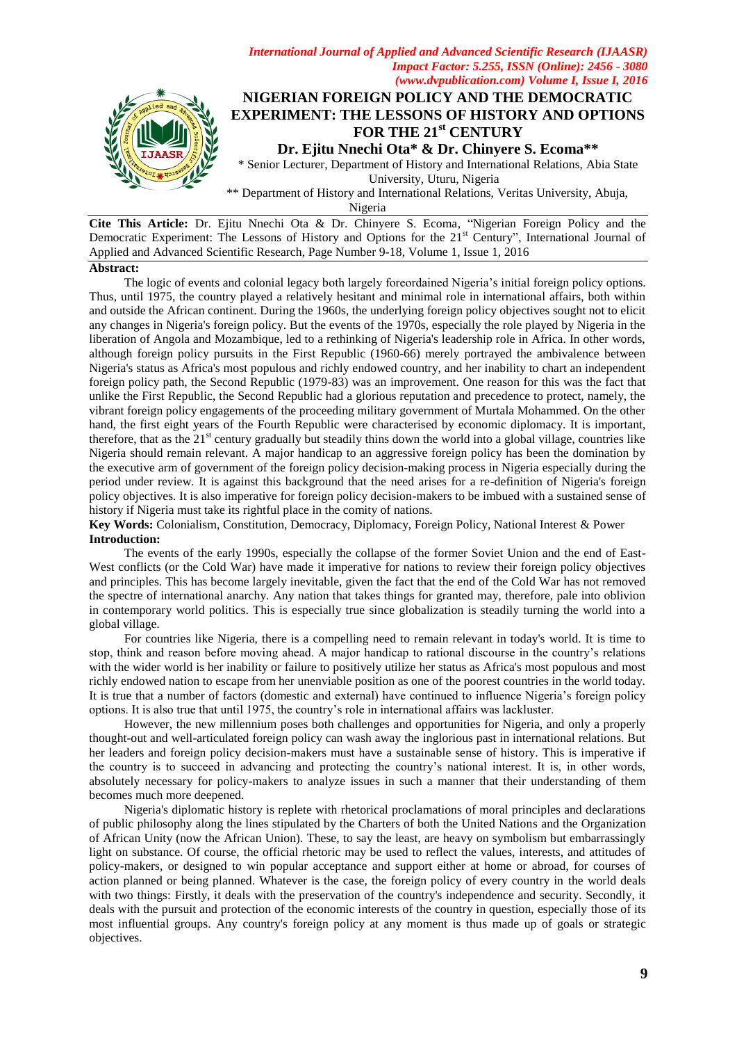

\*\* Department of History and International Relations, Veritas University, Abuja,

Nigeria

**Cite This Article:** Dr. Ejitu Nnechi Ota & Dr. Chinyere S. Ecoma, "Nigerian Foreign Policy and the Democratic Experiment: The Lessons of History and Options for the 21<sup>st</sup> Century", International Journal of Applied and Advanced Scientific Research, Page Number 9-18, Volume 1, Issue 1, 2016

### **Abstract:**

The logic of events and colonial legacy both largely foreordained Nigeria"s initial foreign policy options. Thus, until 1975, the country played a relatively hesitant and minimal role in international affairs, both within and outside the African continent. During the 1960s, the underlying foreign policy objectives sought not to elicit any changes in Nigeria's foreign policy. But the events of the 1970s, especially the role played by Nigeria in the liberation of Angola and Mozambique, led to a rethinking of Nigeria's leadership role in Africa. In other words, although foreign policy pursuits in the First Republic (1960-66) merely portrayed the ambivalence between Nigeria's status as Africa's most populous and richly endowed country, and her inability to chart an independent foreign policy path, the Second Republic (1979-83) was an improvement. One reason for this was the fact that unlike the First Republic, the Second Republic had a glorious reputation and precedence to protect, namely, the vibrant foreign policy engagements of the proceeding military government of Murtala Mohammed. On the other hand, the first eight years of the Fourth Republic were characterised by economic diplomacy. It is important, therefore, that as the  $21<sup>st</sup>$  century gradually but steadily thins down the world into a global village, countries like Nigeria should remain relevant. A major handicap to an aggressive foreign policy has been the domination by the executive arm of government of the foreign policy decision-making process in Nigeria especially during the period under review. It is against this background that the need arises for a re-definition of Nigeria's foreign policy objectives. It is also imperative for foreign policy decision-makers to be imbued with a sustained sense of history if Nigeria must take its rightful place in the comity of nations.

**Key Words:** Colonialism, Constitution, Democracy, Diplomacy, Foreign Policy, National Interest & Power **Introduction:**

The events of the early 1990s, especially the collapse of the former Soviet Union and the end of East-West conflicts (or the Cold War) have made it imperative for nations to review their foreign policy objectives and principles. This has become largely inevitable, given the fact that the end of the Cold War has not removed the spectre of international anarchy. Any nation that takes things for granted may, therefore, pale into oblivion in contemporary world politics. This is especially true since globalization is steadily turning the world into a global village.

For countries like Nigeria, there is a compelling need to remain relevant in today's world. It is time to stop, think and reason before moving ahead. A major handicap to rational discourse in the country"s relations with the wider world is her inability or failure to positively utilize her status as Africa's most populous and most richly endowed nation to escape from her unenviable position as one of the poorest countries in the world today. It is true that a number of factors (domestic and external) have continued to influence Nigeria"s foreign policy options. It is also true that until 1975, the country"s role in international affairs was lackluster.

However, the new millennium poses both challenges and opportunities for Nigeria, and only a properly thought-out and well-articulated foreign policy can wash away the inglorious past in international relations. But her leaders and foreign policy decision-makers must have a sustainable sense of history. This is imperative if the country is to succeed in advancing and protecting the country"s national interest. It is, in other words, absolutely necessary for policy-makers to analyze issues in such a manner that their understanding of them becomes much more deepened.

Nigeria's diplomatic history is replete with rhetorical proclamations of moral principles and declarations of public philosophy along the lines stipulated by the Charters of both the United Nations and the Organization of African Unity (now the African Union). These, to say the least, are heavy on symbolism but embarrassingly light on substance. Of course, the official rhetoric may be used to reflect the values, interests, and attitudes of policy-makers, or designed to win popular acceptance and support either at home or abroad, for courses of action planned or being planned. Whatever is the case, the foreign policy of every country in the world deals with two things: Firstly, it deals with the preservation of the country's independence and security. Secondly, it deals with the pursuit and protection of the economic interests of the country in question, especially those of its most influential groups. Any country's foreign policy at any moment is thus made up of goals or strategic objectives.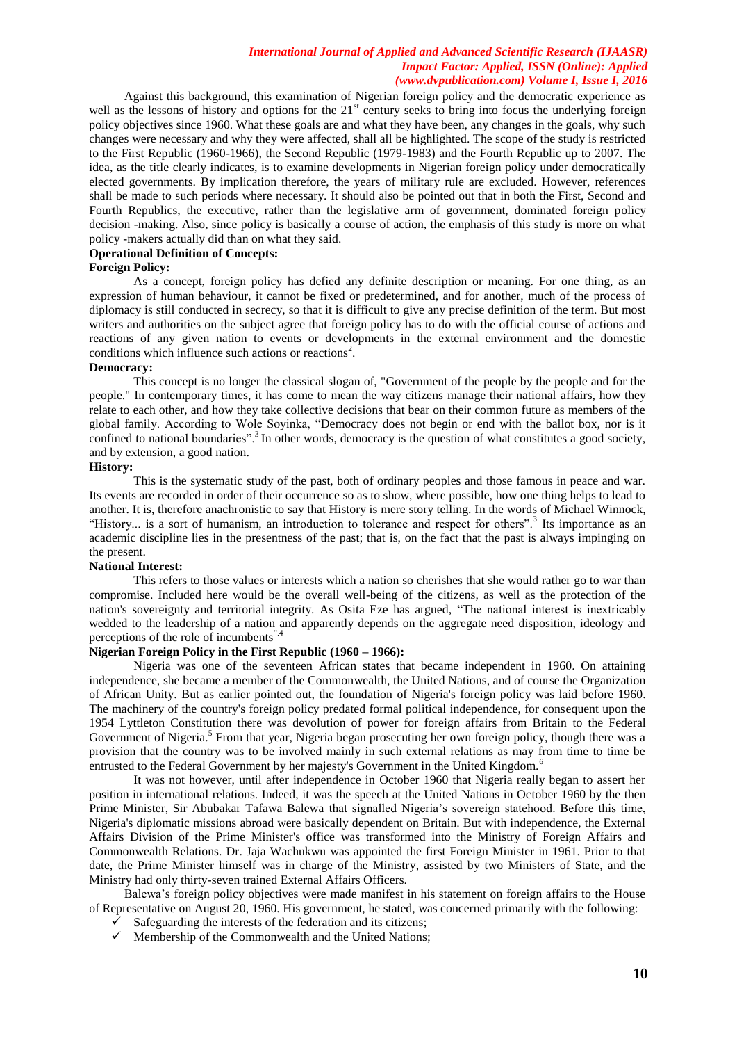Against this background, this examination of Nigerian foreign policy and the democratic experience as well as the lessons of history and options for the 21<sup>st</sup> century seeks to bring into focus the underlying foreign policy objectives since 1960. What these goals are and what they have been, any changes in the goals, why such changes were necessary and why they were affected, shall all be highlighted. The scope of the study is restricted to the First Republic (1960-1966), the Second Republic (1979-1983) and the Fourth Republic up to 2007. The idea, as the title clearly indicates, is to examine developments in Nigerian foreign policy under democratically elected governments. By implication therefore, the years of military rule are excluded. However, references shall be made to such periods where necessary. It should also be pointed out that in both the First, Second and Fourth Republics, the executive, rather than the legislative arm of government, dominated foreign policy decision -making. Also, since policy is basically a course of action, the emphasis of this study is more on what policy -makers actually did than on what they said.

#### **Operational Definition of Concepts:**

### **Foreign Policy:**

As a concept, foreign policy has defied any definite description or meaning. For one thing, as an expression of human behaviour, it cannot be fixed or predetermined, and for another, much of the process of diplomacy is still conducted in secrecy, so that it is difficult to give any precise definition of the term. But most writers and authorities on the subject agree that foreign policy has to do with the official course of actions and reactions of any given nation to events or developments in the external environment and the domestic conditions which influence such actions or reactions<sup>2</sup>.

#### **Democracy:**

This concept is no longer the classical slogan of, "Government of the people by the people and for the people." In contemporary times, it has come to mean the way citizens manage their national affairs, how they relate to each other, and how they take collective decisions that bear on their common future as members of the global family. According to Wole Soyinka, "Democracy does not begin or end with the ballot box, nor is it confined to national boundaries".<sup>3</sup>In other words, democracy is the question of what constitutes a good society, and by extension, a good nation.

### **History:**

This is the systematic study of the past, both of ordinary peoples and those famous in peace and war. Its events are recorded in order of their occurrence so as to show, where possible, how one thing helps to lead to another. It is, therefore anachronistic to say that History is mere story telling. In the words of Michael Winnock, "History... is a sort of humanism, an introduction to tolerance and respect for others".<sup>3</sup> Its importance as an academic discipline lies in the presentness of the past; that is, on the fact that the past is always impinging on the present.

# **National Interest:**

This refers to those values or interests which a nation so cherishes that she would rather go to war than compromise. Included here would be the overall well-being of the citizens, as well as the protection of the nation's sovereignty and territorial integrity. As Osita Eze has argued, "The national interest is inextricably wedded to the leadership of a nation and apparently depends on the aggregate need disposition, ideology and perceptions of the role of incumbents"

# **Nigerian Foreign Policy in the First Republic (1960 – 1966):**

Nigeria was one of the seventeen African states that became independent in 1960. On attaining independence, she became a member of the Commonwealth, the United Nations, and of course the Organization of African Unity. But as earlier pointed out, the foundation of Nigeria's foreign policy was laid before 1960. The machinery of the country's foreign policy predated formal political independence, for consequent upon the 1954 Lyttleton Constitution there was devolution of power for foreign affairs from Britain to the Federal Government of Nigeria.<sup>5</sup> From that year, Nigeria began prosecuting her own foreign policy, though there was a provision that the country was to be involved mainly in such external relations as may from time to time be entrusted to the Federal Government by her majesty's Government in the United Kingdom.<sup>6</sup>

It was not however, until after independence in October 1960 that Nigeria really began to assert her position in international relations. Indeed, it was the speech at the United Nations in October 1960 by the then Prime Minister, Sir Abubakar Tafawa Balewa that signalled Nigeria"s sovereign statehood. Before this time, Nigeria's diplomatic missions abroad were basically dependent on Britain. But with independence, the External Affairs Division of the Prime Minister's office was transformed into the Ministry of Foreign Affairs and Commonwealth Relations. Dr. Jaja Wachukwu was appointed the first Foreign Minister in 1961. Prior to that date, the Prime Minister himself was in charge of the Ministry, assisted by two Ministers of State, and the Ministry had only thirty-seven trained External Affairs Officers.

Balewa"s foreign policy objectives were made manifest in his statement on foreign affairs to the House of Representative on August 20, 1960. His government, he stated, was concerned primarily with the following:

- $\checkmark$  Safeguarding the interests of the federation and its citizens;
- $\checkmark$  Membership of the Commonwealth and the United Nations;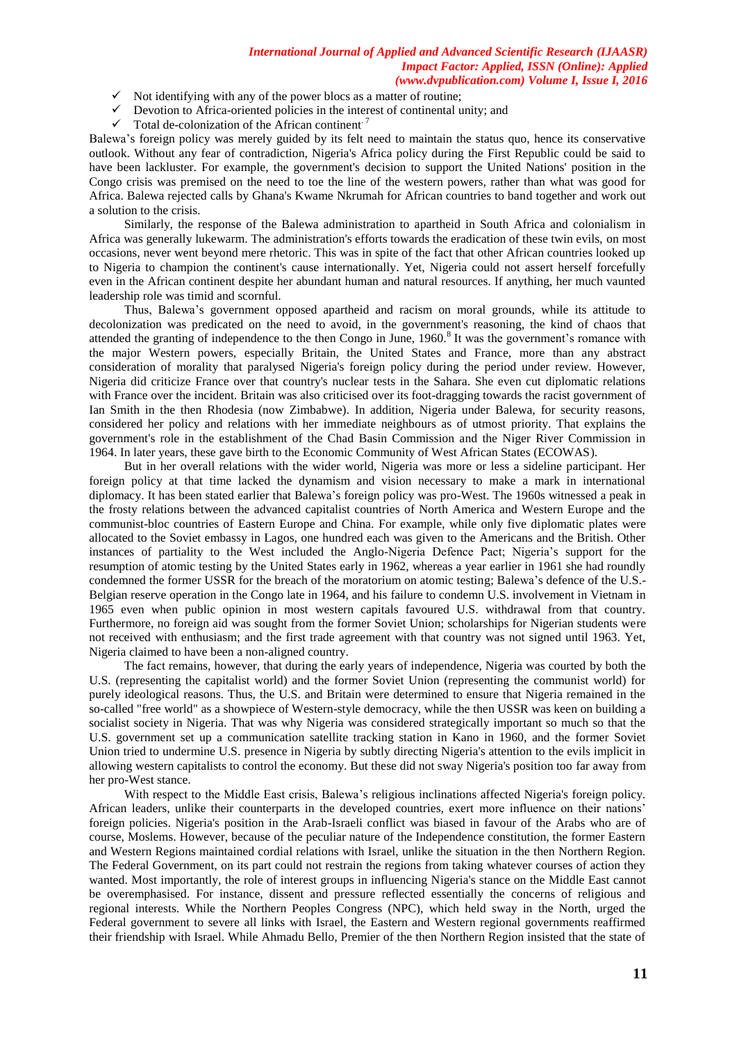- $\checkmark$  Not identifying with any of the power blocs as a matter of routine;
- $\checkmark$  Devotion to Africa-oriented policies in the interest of continental unity; and
- $\checkmark$  Total de-colonization of the African continent.<sup>7</sup>

Balewa"s foreign policy was merely guided by its felt need to maintain the status quo, hence its conservative outlook. Without any fear of contradiction, Nigeria's Africa policy during the First Republic could be said to have been lackluster. For example, the government's decision to support the United Nations' position in the Congo crisis was premised on the need to toe the line of the western powers, rather than what was good for Africa. Balewa rejected calls by Ghana's Kwame Nkrumah for African countries to band together and work out a solution to the crisis.

Similarly, the response of the Balewa administration to apartheid in South Africa and colonialism in Africa was generally lukewarm. The administration's efforts towards the eradication of these twin evils, on most occasions, never went beyond mere rhetoric. This was in spite of the fact that other African countries looked up to Nigeria to champion the continent's cause internationally. Yet, Nigeria could not assert herself forcefully even in the African continent despite her abundant human and natural resources. If anything, her much vaunted leadership role was timid and scornful.

Thus, Balewa"s government opposed apartheid and racism on moral grounds, while its attitude to decolonization was predicated on the need to avoid, in the government's reasoning, the kind of chaos that attended the granting of independence to the then Congo in June, 1960.<sup>8</sup> It was the government's romance with the major Western powers, especially Britain, the United States and France, more than any abstract consideration of morality that paralysed Nigeria's foreign policy during the period under review. However, Nigeria did criticize France over that country's nuclear tests in the Sahara. She even cut diplomatic relations with France over the incident. Britain was also criticised over its foot-dragging towards the racist government of Ian Smith in the then Rhodesia (now Zimbabwe). In addition, Nigeria under Balewa, for security reasons, considered her policy and relations with her immediate neighbours as of utmost priority. That explains the government's role in the establishment of the Chad Basin Commission and the Niger River Commission in 1964. In later years, these gave birth to the Economic Community of West African States (ECOWAS).

But in her overall relations with the wider world, Nigeria was more or less a sideline participant. Her foreign policy at that time lacked the dynamism and vision necessary to make a mark in international diplomacy. It has been stated earlier that Balewa"s foreign policy was pro-West. The 1960s witnessed a peak in the frosty relations between the advanced capitalist countries of North America and Western Europe and the communist-bloc countries of Eastern Europe and China. For example, while only five diplomatic plates were allocated to the Soviet embassy in Lagos, one hundred each was given to the Americans and the British. Other instances of partiality to the West included the Anglo-Nigeria Defence Pact; Nigeria"s support for the resumption of atomic testing by the United States early in 1962, whereas a year earlier in 1961 she had roundly condemned the former USSR for the breach of the moratorium on atomic testing; Balewa"s defence of the U.S.- Belgian reserve operation in the Congo late in 1964, and his failure to condemn U.S. involvement in Vietnam in 1965 even when public opinion in most western capitals favoured U.S. withdrawal from that country. Furthermore, no foreign aid was sought from the former Soviet Union; scholarships for Nigerian students were not received with enthusiasm; and the first trade agreement with that country was not signed until 1963. Yet, Nigeria claimed to have been a non-aligned country.

The fact remains, however, that during the early years of independence, Nigeria was courted by both the U.S. (representing the capitalist world) and the former Soviet Union (representing the communist world) for purely ideological reasons. Thus, the U.S. and Britain were determined to ensure that Nigeria remained in the so-called "free world" as a showpiece of Western-style democracy, while the then USSR was keen on building a socialist society in Nigeria. That was why Nigeria was considered strategically important so much so that the U.S. government set up a communication satellite tracking station in Kano in 1960, and the former Soviet Union tried to undermine U.S. presence in Nigeria by subtly directing Nigeria's attention to the evils implicit in allowing western capitalists to control the economy. But these did not sway Nigeria's position too far away from her pro-West stance.

With respect to the Middle East crisis, Balewa"s religious inclinations affected Nigeria's foreign policy. African leaders, unlike their counterparts in the developed countries, exert more influence on their nations' foreign policies. Nigeria's position in the Arab-Israeli conflict was biased in favour of the Arabs who are of course, Moslems. However, because of the peculiar nature of the Independence constitution, the former Eastern and Western Regions maintained cordial relations with Israel, unlike the situation in the then Northern Region. The Federal Government, on its part could not restrain the regions from taking whatever courses of action they wanted. Most importantly, the role of interest groups in influencing Nigeria's stance on the Middle East cannot be overemphasised. For instance, dissent and pressure reflected essentially the concerns of religious and regional interests. While the Northern Peoples Congress (NPC), which held sway in the North, urged the Federal government to severe all links with Israel, the Eastern and Western regional governments reaffirmed their friendship with Israel. While Ahmadu Bello, Premier of the then Northern Region insisted that the state of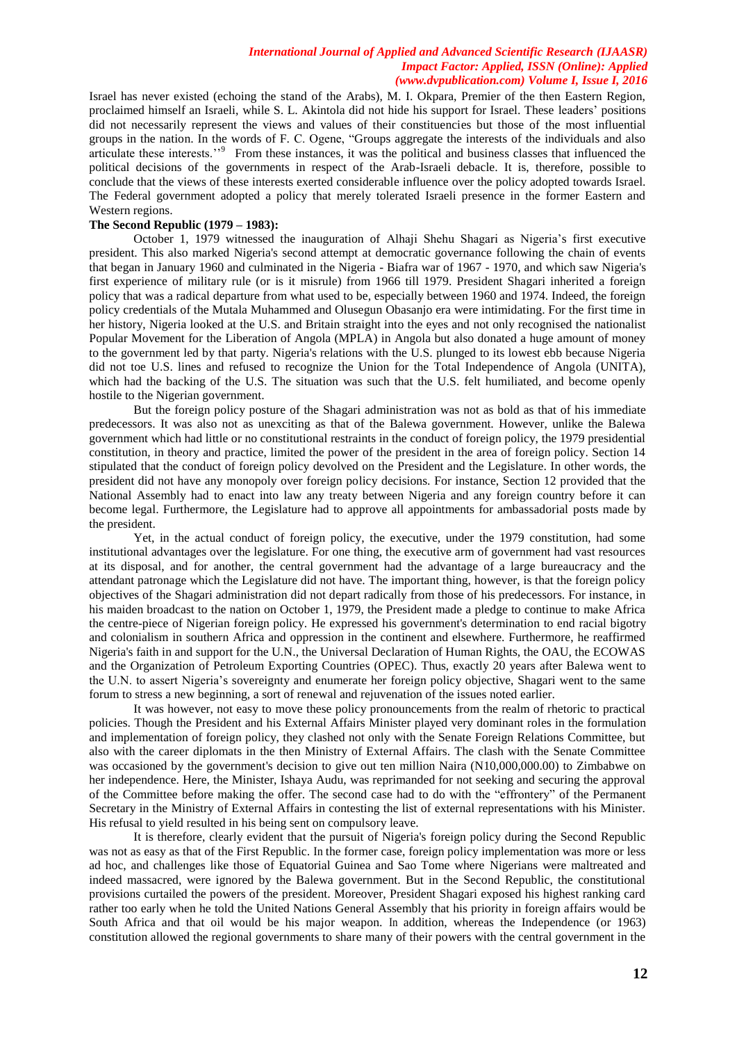Israel has never existed (echoing the stand of the Arabs), M. I. Okpara, Premier of the then Eastern Region, proclaimed himself an Israeli, while S. L. Akintola did not hide his support for Israel. These leaders" positions did not necessarily represent the views and values of their constituencies but those of the most influential groups in the nation. In the words of F. C. Ogene, "Groups aggregate the interests of the individuals and also articulate these interests."<sup>9</sup> From these instances, it was the political and business classes that influenced the political decisions of the governments in respect of the Arab-Israeli debacle. It is, therefore, possible to conclude that the views of these interests exerted considerable influence over the policy adopted towards Israel. The Federal government adopted a policy that merely tolerated Israeli presence in the former Eastern and Western regions.

# **The Second Republic (1979 – 1983):**

October 1, 1979 witnessed the inauguration of Alhaji Shehu Shagari as Nigeria"s first executive president. This also marked Nigeria's second attempt at democratic governance following the chain of events that began in January 1960 and culminated in the Nigeria - Biafra war of 1967 - 1970, and which saw Nigeria's first experience of military rule (or is it misrule) from 1966 till 1979. President Shagari inherited a foreign policy that was a radical departure from what used to be, especially between 1960 and 1974. Indeed, the foreign policy credentials of the Mutala Muhammed and Olusegun Obasanjo era were intimidating. For the first time in her history, Nigeria looked at the U.S. and Britain straight into the eyes and not only recognised the nationalist Popular Movement for the Liberation of Angola (MPLA) in Angola but also donated a huge amount of money to the government led by that party. Nigeria's relations with the U.S. plunged to its lowest ebb because Nigeria did not toe U.S. lines and refused to recognize the Union for the Total Independence of Angola (UNITA), which had the backing of the U.S. The situation was such that the U.S. felt humiliated, and become openly hostile to the Nigerian government.

 But the foreign policy posture of the Shagari administration was not as bold as that of his immediate predecessors. It was also not as unexciting as that of the Balewa government. However, unlike the Balewa government which had little or no constitutional restraints in the conduct of foreign policy, the 1979 presidential constitution, in theory and practice, limited the power of the president in the area of foreign policy. Section 14 stipulated that the conduct of foreign policy devolved on the President and the Legislature. In other words, the president did not have any monopoly over foreign policy decisions. For instance, Section 12 provided that the National Assembly had to enact into law any treaty between Nigeria and any foreign country before it can become legal. Furthermore, the Legislature had to approve all appointments for ambassadorial posts made by the president.

Yet, in the actual conduct of foreign policy, the executive, under the 1979 constitution, had some institutional advantages over the legislature. For one thing, the executive arm of government had vast resources at its disposal, and for another, the central government had the advantage of a large bureaucracy and the attendant patronage which the Legislature did not have. The important thing, however, is that the foreign policy objectives of the Shagari administration did not depart radically from those of his predecessors. For instance, in his maiden broadcast to the nation on October 1, 1979, the President made a pledge to continue to make Africa the centre-piece of Nigerian foreign policy. He expressed his government's determination to end racial bigotry and colonialism in southern Africa and oppression in the continent and elsewhere. Furthermore, he reaffirmed Nigeria's faith in and support for the U.N., the Universal Declaration of Human Rights, the OAU, the ECOWAS and the Organization of Petroleum Exporting Countries (OPEC). Thus, exactly 20 years after Balewa went to the U.N. to assert Nigeria"s sovereignty and enumerate her foreign policy objective, Shagari went to the same forum to stress a new beginning, a sort of renewal and rejuvenation of the issues noted earlier.

It was however, not easy to move these policy pronouncements from the realm of rhetoric to practical policies. Though the President and his External Affairs Minister played very dominant roles in the formulation and implementation of foreign policy, they clashed not only with the Senate Foreign Relations Committee, but also with the career diplomats in the then Ministry of External Affairs. The clash with the Senate Committee was occasioned by the government's decision to give out ten million Naira (N10,000,000.00) to Zimbabwe on her independence. Here, the Minister, Ishaya Audu, was reprimanded for not seeking and securing the approval of the Committee before making the offer. The second case had to do with the "effrontery" of the Permanent Secretary in the Ministry of External Affairs in contesting the list of external representations with his Minister. His refusal to yield resulted in his being sent on compulsory leave.

It is therefore, clearly evident that the pursuit of Nigeria's foreign policy during the Second Republic was not as easy as that of the First Republic. In the former case, foreign policy implementation was more or less ad hoc, and challenges like those of Equatorial Guinea and Sao Tome where Nigerians were maltreated and indeed massacred, were ignored by the Balewa government. But in the Second Republic, the constitutional provisions curtailed the powers of the president. Moreover, President Shagari exposed his highest ranking card rather too early when he told the United Nations General Assembly that his priority in foreign affairs would be South Africa and that oil would be his major weapon. In addition, whereas the Independence (or 1963) constitution allowed the regional governments to share many of their powers with the central government in the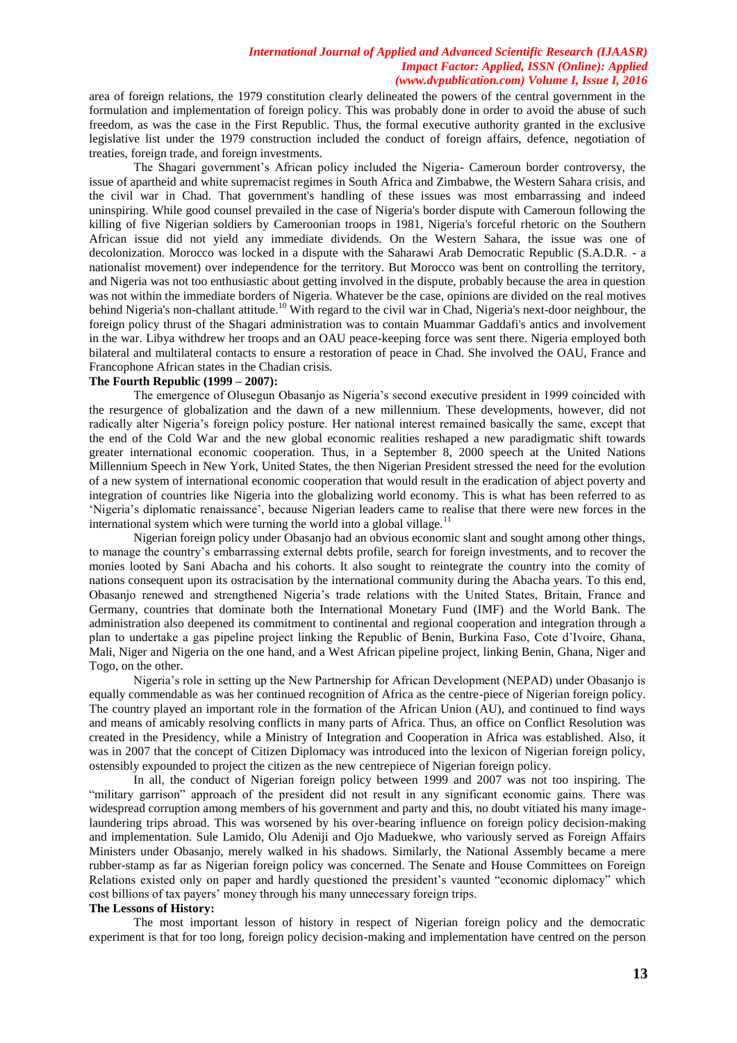area of foreign relations, the 1979 constitution clearly delineated the powers of the central government in the formulation and implementation of foreign policy. This was probably done in order to avoid the abuse of such freedom, as was the case in the First Republic. Thus, the formal executive authority granted in the exclusive legislative list under the 1979 construction included the conduct of foreign affairs, defence, negotiation of treaties, foreign trade, and foreign investments.

The Shagari government"s African policy included the Nigeria- Cameroun border controversy, the issue of apartheid and white supremacist regimes in South Africa and Zimbabwe, the Western Sahara crisis, and the civil war in Chad. That government's handling of these issues was most embarrassing and indeed uninspiring. While good counsel prevailed in the case of Nigeria's border dispute with Cameroun following the killing of five Nigerian soldiers by Cameroonian troops in 1981, Nigeria's forceful rhetoric on the Southern African issue did not yield any immediate dividends. On the Western Sahara, the issue was one of decolonization. Morocco was locked in a dispute with the Saharawi Arab Democratic Republic (S.A.D.R. - a nationalist movement) over independence for the territory. But Morocco was bent on controlling the territory, and Nigeria was not too enthusiastic about getting involved in the dispute, probably because the area in question was not within the immediate borders of Nigeria. Whatever be the case, opinions are divided on the real motives behind Nigeria's non-challant attitude.<sup>10</sup> With regard to the civil war in Chad, Nigeria's next-door neighbour, the foreign policy thrust of the Shagari administration was to contain Muammar Gaddafi's antics and involvement in the war. Libya withdrew her troops and an OAU peace-keeping force was sent there. Nigeria employed both bilateral and multilateral contacts to ensure a restoration of peace in Chad. She involved the OAU, France and Francophone African states in the Chadian crisis.

### **The Fourth Republic (1999 – 2007):**

The emergence of Olusegun Obasanjo as Nigeria"s second executive president in 1999 coincided with the resurgence of globalization and the dawn of a new millennium. These developments, however, did not radically alter Nigeria"s foreign policy posture. Her national interest remained basically the same, except that the end of the Cold War and the new global economic realities reshaped a new paradigmatic shift towards greater international economic cooperation. Thus, in a September 8, 2000 speech at the United Nations Millennium Speech in New York, United States, the then Nigerian President stressed the need for the evolution of a new system of international economic cooperation that would result in the eradication of abject poverty and integration of countries like Nigeria into the globalizing world economy. This is what has been referred to as "Nigeria"s diplomatic renaissance", because Nigerian leaders came to realise that there were new forces in the international system which were turning the world into a global village.<sup>11</sup>

Nigerian foreign policy under Obasanjo had an obvious economic slant and sought among other things, to manage the country"s embarrassing external debts profile, search for foreign investments, and to recover the monies looted by Sani Abacha and his cohorts. It also sought to reintegrate the country into the comity of nations consequent upon its ostracisation by the international community during the Abacha years. To this end, Obasanjo renewed and strengthened Nigeria"s trade relations with the United States, Britain, France and Germany, countries that dominate both the International Monetary Fund (IMF) and the World Bank. The administration also deepened its commitment to continental and regional cooperation and integration through a plan to undertake a gas pipeline project linking the Republic of Benin, Burkina Faso, Cote d"Ivoire, Ghana, Mali, Niger and Nigeria on the one hand, and a West African pipeline project, linking Benin, Ghana, Niger and Togo, on the other.

Nigeria"s role in setting up the New Partnership for African Development (NEPAD) under Obasanjo is equally commendable as was her continued recognition of Africa as the centre-piece of Nigerian foreign policy. The country played an important role in the formation of the African Union (AU), and continued to find ways and means of amicably resolving conflicts in many parts of Africa. Thus, an office on Conflict Resolution was created in the Presidency, while a Ministry of Integration and Cooperation in Africa was established. Also, it was in 2007 that the concept of Citizen Diplomacy was introduced into the lexicon of Nigerian foreign policy, ostensibly expounded to project the citizen as the new centrepiece of Nigerian foreign policy.

In all, the conduct of Nigerian foreign policy between 1999 and 2007 was not too inspiring. The "military garrison" approach of the president did not result in any significant economic gains. There was widespread corruption among members of his government and party and this, no doubt vitiated his many imagelaundering trips abroad. This was worsened by his over-bearing influence on foreign policy decision-making and implementation. Sule Lamido, Olu Adeniji and Ojo Maduekwe, who variously served as Foreign Affairs Ministers under Obasanjo, merely walked in his shadows. Similarly, the National Assembly became a mere rubber-stamp as far as Nigerian foreign policy was concerned. The Senate and House Committees on Foreign Relations existed only on paper and hardly questioned the president's vaunted "economic diplomacy" which cost billions of tax payers' money through his many unnecessary foreign trips.

# **The Lessons of History:**

The most important lesson of history in respect of Nigerian foreign policy and the democratic experiment is that for too long, foreign policy decision-making and implementation have centred on the person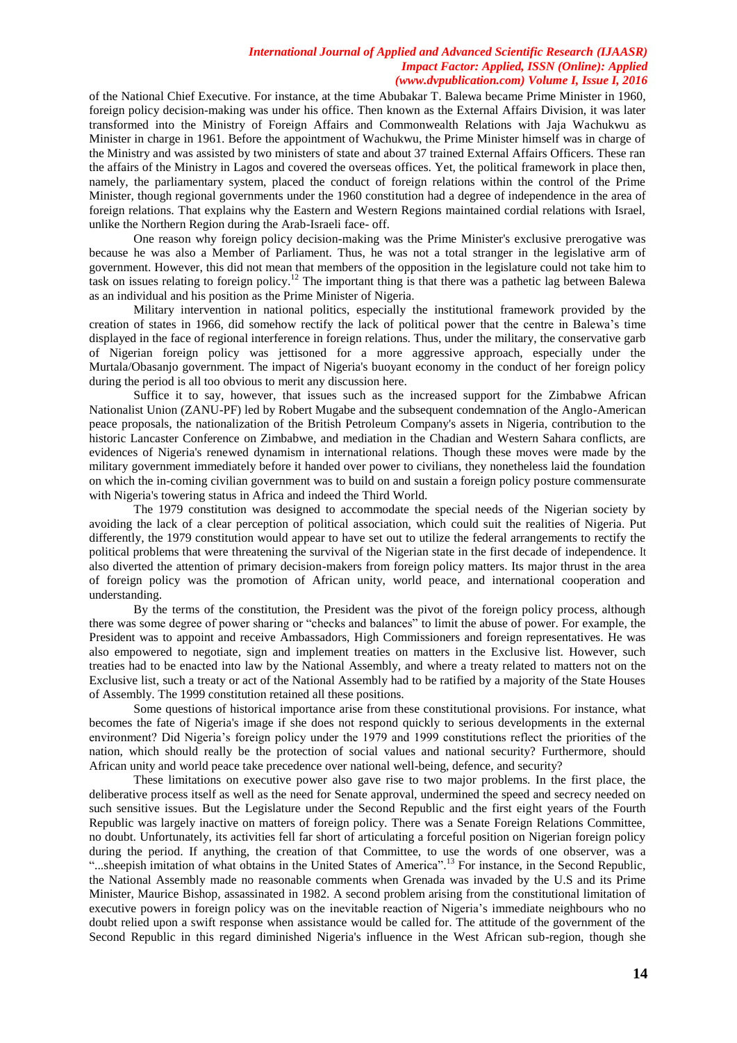of the National Chief Executive. For instance, at the time Abubakar T. Balewa became Prime Minister in 1960, foreign policy decision-making was under his office. Then known as the External Affairs Division, it was later transformed into the Ministry of Foreign Affairs and Commonwealth Relations with Jaja Wachukwu as Minister in charge in 1961. Before the appointment of Wachukwu, the Prime Minister himself was in charge of the Ministry and was assisted by two ministers of state and about 37 trained External Affairs Officers. These ran the affairs of the Ministry in Lagos and covered the overseas offices. Yet, the political framework in place then, namely, the parliamentary system, placed the conduct of foreign relations within the control of the Prime Minister, though regional governments under the 1960 constitution had a degree of independence in the area of foreign relations. That explains why the Eastern and Western Regions maintained cordial relations with Israel, unlike the Northern Region during the Arab-Israeli face- off.

 One reason why foreign policy decision-making was the Prime Minister's exclusive prerogative was because he was also a Member of Parliament. Thus, he was not a total stranger in the legislative arm of government. However, this did not mean that members of the opposition in the legislature could not take him to task on issues relating to foreign policy.<sup>12</sup> The important thing is that there was a pathetic lag between Balewa as an individual and his position as the Prime Minister of Nigeria.

Military intervention in national politics, especially the institutional framework provided by the creation of states in 1966, did somehow rectify the lack of political power that the centre in Balewa"s time displayed in the face of regional interference in foreign relations. Thus, under the military, the conservative garb of Nigerian foreign policy was jettisoned for a more aggressive approach, especially under the Murtala/Obasanjo government. The impact of Nigeria's buoyant economy in the conduct of her foreign policy during the period is all too obvious to merit any discussion here.

Suffice it to say, however, that issues such as the increased support for the Zimbabwe African Nationalist Union (ZANU-PF) led by Robert Mugabe and the subsequent condemnation of the Anglo-American peace proposals, the nationalization of the British Petroleum Company's assets in Nigeria, contribution to the historic Lancaster Conference on Zimbabwe, and mediation in the Chadian and Western Sahara conflicts, are evidences of Nigeria's renewed dynamism in international relations. Though these moves were made by the military government immediately before it handed over power to civilians, they nonetheless laid the foundation on which the in-coming civilian government was to build on and sustain a foreign policy posture commensurate with Nigeria's towering status in Africa and indeed the Third World.

The 1979 constitution was designed to accommodate the special needs of the Nigerian society by avoiding the lack of a clear perception of political association, which could suit the realities of Nigeria. Put differently, the 1979 constitution would appear to have set out to utilize the federal arrangements to rectify the political problems that were threatening the survival of the Nigerian state in the first decade of independence. It also diverted the attention of primary decision-makers from foreign policy matters. Its major thrust in the area of foreign policy was the promotion of African unity, world peace, and international cooperation and understanding.

By the terms of the constitution, the President was the pivot of the foreign policy process, although there was some degree of power sharing or "checks and balances" to limit the abuse of power. For example, the President was to appoint and receive Ambassadors, High Commissioners and foreign representatives. He was also empowered to negotiate, sign and implement treaties on matters in the Exclusive list. However, such treaties had to be enacted into law by the National Assembly, and where a treaty related to matters not on the Exclusive list, such a treaty or act of the National Assembly had to be ratified by a majority of the State Houses of Assembly. The 1999 constitution retained all these positions.

Some questions of historical importance arise from these constitutional provisions. For instance, what becomes the fate of Nigeria's image if she does not respond quickly to serious developments in the external environment? Did Nigeria's foreign policy under the 1979 and 1999 constitutions reflect the priorities of the nation, which should really be the protection of social values and national security? Furthermore, should African unity and world peace take precedence over national well-being, defence, and security?

 These limitations on executive power also gave rise to two major problems. In the first place, the deliberative process itself as well as the need for Senate approval, undermined the speed and secrecy needed on such sensitive issues. But the Legislature under the Second Republic and the first eight years of the Fourth Republic was largely inactive on matters of foreign policy. There was a Senate Foreign Relations Committee, no doubt. Unfortunately, its activities fell far short of articulating a forceful position on Nigerian foreign policy during the period. If anything, the creation of that Committee, to use the words of one observer, was a "...sheepish imitation of what obtains in the United States of America".<sup>13</sup> For instance, in the Second Republic, the National Assembly made no reasonable comments when Grenada was invaded by the U.S and its Prime Minister, Maurice Bishop, assassinated in 1982. A second problem arising from the constitutional limitation of executive powers in foreign policy was on the inevitable reaction of Nigeria"s immediate neighbours who no doubt relied upon a swift response when assistance would be called for. The attitude of the government of the Second Republic in this regard diminished Nigeria's influence in the West African sub-region, though she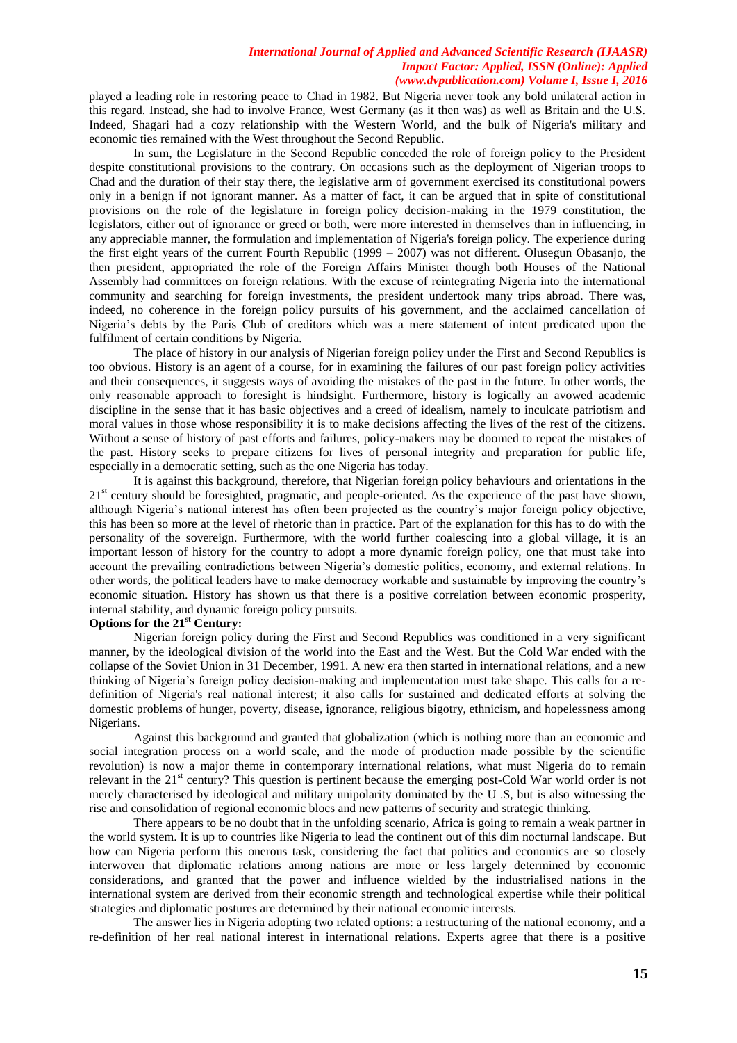played a leading role in restoring peace to Chad in 1982. But Nigeria never took any bold unilateral action in this regard. Instead, she had to involve France, West Germany (as it then was) as well as Britain and the U.S. Indeed, Shagari had a cozy relationship with the Western World, and the bulk of Nigeria's military and economic ties remained with the West throughout the Second Republic.

In sum, the Legislature in the Second Republic conceded the role of foreign policy to the President despite constitutional provisions to the contrary. On occasions such as the deployment of Nigerian troops to Chad and the duration of their stay there, the legislative arm of government exercised its constitutional powers only in a benign if not ignorant manner. As a matter of fact, it can be argued that in spite of constitutional provisions on the role of the legislature in foreign policy decision-making in the 1979 constitution, the legislators, either out of ignorance or greed or both, were more interested in themselves than in influencing, in any appreciable manner, the formulation and implementation of Nigeria's foreign policy. The experience during the first eight years of the current Fourth Republic (1999 – 2007) was not different. Olusegun Obasanjo, the then president, appropriated the role of the Foreign Affairs Minister though both Houses of the National Assembly had committees on foreign relations. With the excuse of reintegrating Nigeria into the international community and searching for foreign investments, the president undertook many trips abroad. There was, indeed, no coherence in the foreign policy pursuits of his government, and the acclaimed cancellation of Nigeria"s debts by the Paris Club of creditors which was a mere statement of intent predicated upon the fulfilment of certain conditions by Nigeria.

The place of history in our analysis of Nigerian foreign policy under the First and Second Republics is too obvious. History is an agent of a course, for in examining the failures of our past foreign policy activities and their consequences, it suggests ways of avoiding the mistakes of the past in the future. In other words, the only reasonable approach to foresight is hindsight. Furthermore, history is logically an avowed academic discipline in the sense that it has basic objectives and a creed of idealism, namely to inculcate patriotism and moral values in those whose responsibility it is to make decisions affecting the lives of the rest of the citizens. Without a sense of history of past efforts and failures, policy-makers may be doomed to repeat the mistakes of the past. History seeks to prepare citizens for lives of personal integrity and preparation for public life, especially in a democratic setting, such as the one Nigeria has today.

It is against this background, therefore, that Nigerian foreign policy behaviours and orientations in the  $21<sup>st</sup>$  century should be foresighted, pragmatic, and people-oriented. As the experience of the past have shown, although Nigeria"s national interest has often been projected as the country"s major foreign policy objective, this has been so more at the level of rhetoric than in practice. Part of the explanation for this has to do with the personality of the sovereign. Furthermore, with the world further coalescing into a global village, it is an important lesson of history for the country to adopt a more dynamic foreign policy, one that must take into account the prevailing contradictions between Nigeria"s domestic politics, economy, and external relations. In other words, the political leaders have to make democracy workable and sustainable by improving the country"s economic situation. History has shown us that there is a positive correlation between economic prosperity, internal stability, and dynamic foreign policy pursuits.

# **Options for the 21st Century:**

Nigerian foreign policy during the First and Second Republics was conditioned in a very significant manner, by the ideological division of the world into the East and the West. But the Cold War ended with the collapse of the Soviet Union in 31 December, 1991. A new era then started in international relations, and a new thinking of Nigeria"s foreign policy decision-making and implementation must take shape. This calls for a redefinition of Nigeria's real national interest; it also calls for sustained and dedicated efforts at solving the domestic problems of hunger, poverty, disease, ignorance, religious bigotry, ethnicism, and hopelessness among Nigerians.

 Against this background and granted that globalization (which is nothing more than an economic and social integration process on a world scale, and the mode of production made possible by the scientific revolution) is now a major theme in contemporary international relations, what must Nigeria do to remain relevant in the 21<sup>st</sup> century? This question is pertinent because the emerging post-Cold War world order is not merely characterised by ideological and military unipolarity dominated by the U .S, but is also witnessing the rise and consolidation of regional economic blocs and new patterns of security and strategic thinking.

There appears to be no doubt that in the unfolding scenario, Africa is going to remain a weak partner in the world system. It is up to countries like Nigeria to lead the continent out of this dim nocturnal landscape. But how can Nigeria perform this onerous task, considering the fact that politics and economics are so closely interwoven that diplomatic relations among nations are more or less largely determined by economic considerations, and granted that the power and influence wielded by the industrialised nations in the international system are derived from their economic strength and technological expertise while their political strategies and diplomatic postures are determined by their national economic interests.

The answer lies in Nigeria adopting two related options: a restructuring of the national economy, and a re-definition of her real national interest in international relations. Experts agree that there is a positive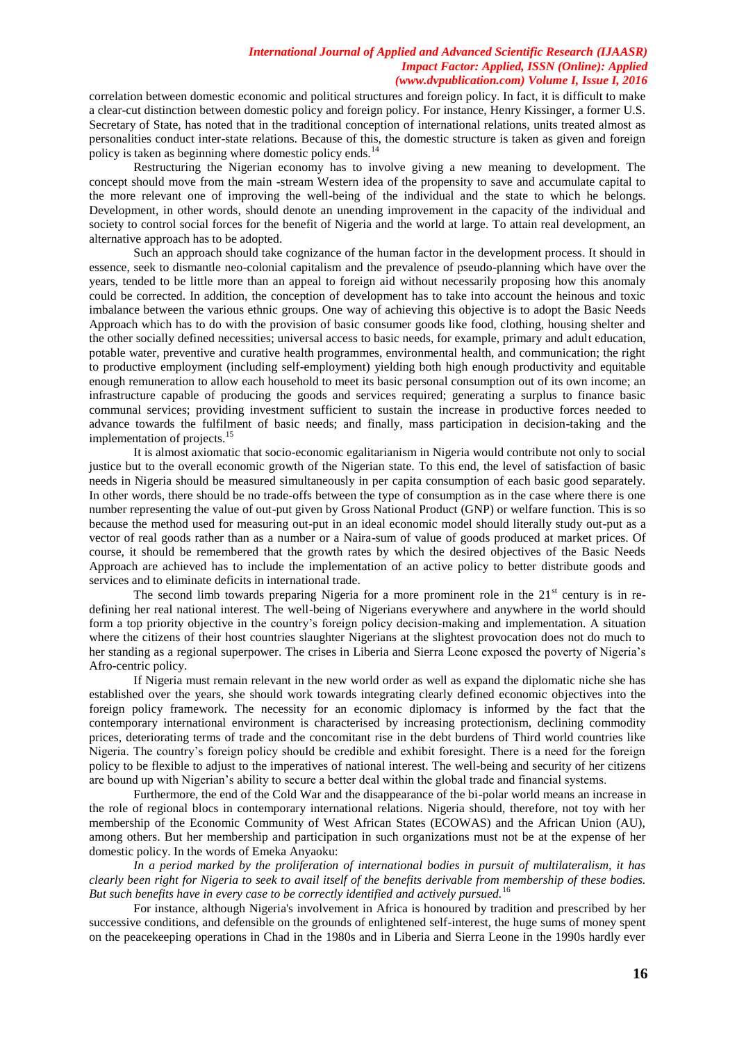correlation between domestic economic and political structures and foreign policy. In fact, it is difficult to make a clear-cut distinction between domestic policy and foreign policy. For instance, Henry Kissinger, a former U.S. Secretary of State, has noted that in the traditional conception of international relations, units treated almost as personalities conduct inter-state relations. Because of this, the domestic structure is taken as given and foreign policy is taken as beginning where domestic policy ends.<sup>14</sup>

Restructuring the Nigerian economy has to involve giving a new meaning to development. The concept should move from the main -stream Western idea of the propensity to save and accumulate capital to the more relevant one of improving the well-being of the individual and the state to which he belongs. Development, in other words, should denote an unending improvement in the capacity of the individual and society to control social forces for the benefit of Nigeria and the world at large. To attain real development, an alternative approach has to be adopted.

Such an approach should take cognizance of the human factor in the development process. It should in essence, seek to dismantle neo-colonial capitalism and the prevalence of pseudo-planning which have over the years, tended to be little more than an appeal to foreign aid without necessarily proposing how this anomaly could be corrected. In addition, the conception of development has to take into account the heinous and toxic imbalance between the various ethnic groups. One way of achieving this objective is to adopt the Basic Needs Approach which has to do with the provision of basic consumer goods like food, clothing, housing shelter and the other socially defined necessities; universal access to basic needs, for example, primary and adult education, potable water, preventive and curative health programmes, environmental health, and communication; the right to productive employment (including self-employment) yielding both high enough productivity and equitable enough remuneration to allow each household to meet its basic personal consumption out of its own income; an infrastructure capable of producing the goods and services required; generating a surplus to finance basic communal services; providing investment sufficient to sustain the increase in productive forces needed to advance towards the fulfilment of basic needs; and finally, mass participation in decision-taking and the implementation of projects.<sup>15</sup>

 It is almost axiomatic that socio-economic egalitarianism in Nigeria would contribute not only to social justice but to the overall economic growth of the Nigerian state. To this end, the level of satisfaction of basic needs in Nigeria should be measured simultaneously in per capita consumption of each basic good separately. In other words, there should be no trade-offs between the type of consumption as in the case where there is one number representing the value of out-put given by Gross National Product (GNP) or welfare function. This is so because the method used for measuring out-put in an ideal economic model should literally study out-put as a vector of real goods rather than as a number or a Naira-sum of value of goods produced at market prices. Of course, it should be remembered that the growth rates by which the desired objectives of the Basic Needs Approach are achieved has to include the implementation of an active policy to better distribute goods and services and to eliminate deficits in international trade.

The second limb towards preparing Nigeria for a more prominent role in the  $21<sup>st</sup>$  century is in redefining her real national interest. The well-being of Nigerians everywhere and anywhere in the world should form a top priority objective in the country"s foreign policy decision-making and implementation. A situation where the citizens of their host countries slaughter Nigerians at the slightest provocation does not do much to her standing as a regional superpower. The crises in Liberia and Sierra Leone exposed the poverty of Nigeria's Afro-centric policy.

If Nigeria must remain relevant in the new world order as well as expand the diplomatic niche she has established over the years, she should work towards integrating clearly defined economic objectives into the foreign policy framework. The necessity for an economic diplomacy is informed by the fact that the contemporary international environment is characterised by increasing protectionism, declining commodity prices, deteriorating terms of trade and the concomitant rise in the debt burdens of Third world countries like Nigeria. The country"s foreign policy should be credible and exhibit foresight. There is a need for the foreign policy to be flexible to adjust to the imperatives of national interest. The well-being and security of her citizens are bound up with Nigerian"s ability to secure a better deal within the global trade and financial systems.

Furthermore, the end of the Cold War and the disappearance of the bi-polar world means an increase in the role of regional blocs in contemporary international relations. Nigeria should, therefore, not toy with her membership of the Economic Community of West African States (ECOWAS) and the African Union (AU), among others. But her membership and participation in such organizations must not be at the expense of her domestic policy. In the words of Emeka Anyaoku:

*In a period marked by the proliferation of international bodies in pursuit of multilateralism, it has clearly been right for Nigeria to seek to avail itself of the benefits derivable from membership of these bodies. But such benefits have in every case to be correctly identified and actively pursued.*<sup>16</sup>

For instance, although Nigeria's involvement in Africa is honoured by tradition and prescribed by her successive conditions, and defensible on the grounds of enlightened self-interest, the huge sums of money spent on the peacekeeping operations in Chad in the 1980s and in Liberia and Sierra Leone in the 1990s hardly ever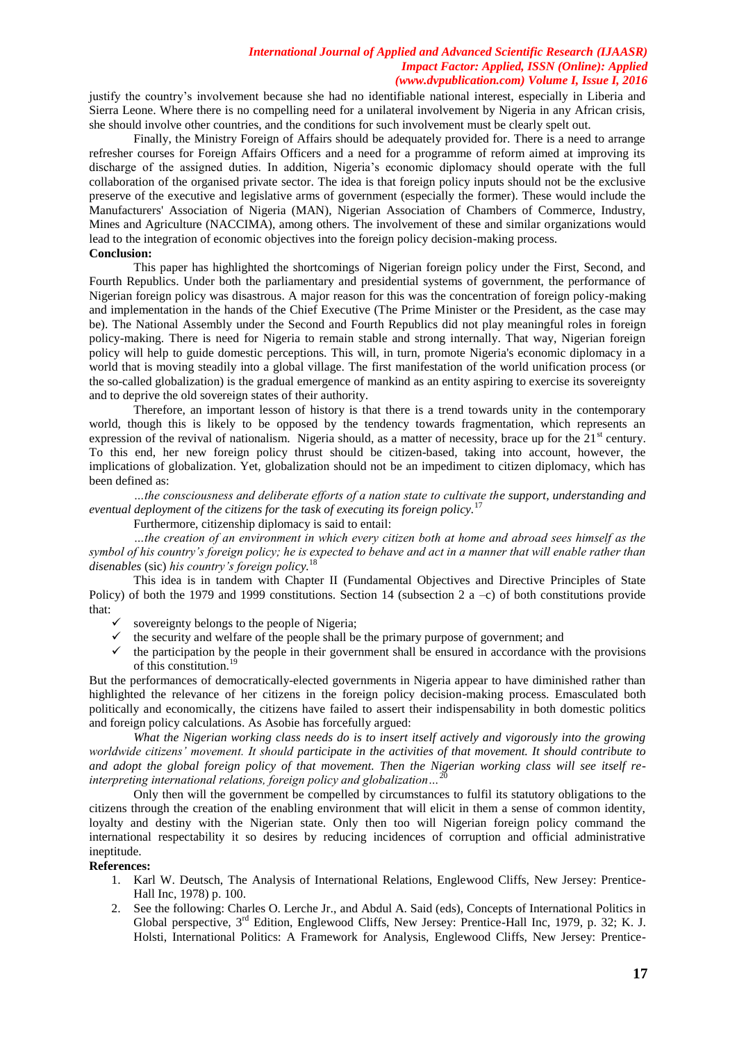justify the country's involvement because she had no identifiable national interest, especially in Liberia and Sierra Leone. Where there is no compelling need for a unilateral involvement by Nigeria in any African crisis, she should involve other countries, and the conditions for such involvement must be clearly spelt out.

Finally, the Ministry Foreign of Affairs should be adequately provided for. There is a need to arrange refresher courses for Foreign Affairs Officers and a need for a programme of reform aimed at improving its discharge of the assigned duties. In addition, Nigeria"s economic diplomacy should operate with the full collaboration of the organised private sector. The idea is that foreign policy inputs should not be the exclusive preserve of the executive and legislative arms of government (especially the former). These would include the Manufacturers' Association of Nigeria (MAN), Nigerian Association of Chambers of Commerce, Industry, Mines and Agriculture (NACCIMA), among others. The involvement of these and similar organizations would lead to the integration of economic objectives into the foreign policy decision-making process. **Conclusion:**

This paper has highlighted the shortcomings of Nigerian foreign policy under the First, Second, and Fourth Republics. Under both the parliamentary and presidential systems of government, the performance of Nigerian foreign policy was disastrous. A major reason for this was the concentration of foreign policy-making and implementation in the hands of the Chief Executive (The Prime Minister or the President, as the case may be). The National Assembly under the Second and Fourth Republics did not play meaningful roles in foreign policy-making. There is need for Nigeria to remain stable and strong internally. That way, Nigerian foreign policy will help to guide domestic perceptions. This will, in turn, promote Nigeria's economic diplomacy in a world that is moving steadily into a global village. The first manifestation of the world unification process (or the so-called globalization) is the gradual emergence of mankind as an entity aspiring to exercise its sovereignty and to deprive the old sovereign states of their authority.

Therefore, an important lesson of history is that there is a trend towards unity in the contemporary world, though this is likely to be opposed by the tendency towards fragmentation, which represents an expression of the revival of nationalism. Nigeria should, as a matter of necessity, brace up for the  $21<sup>st</sup>$  century. To this end, her new foreign policy thrust should be citizen-based, taking into account, however, the implications of globalization. Yet, globalization should not be an impediment to citizen diplomacy, which has been defined as:

*…the consciousness and deliberate efforts of a nation state to cultivate the support, understanding and eventual deployment of the citizens for the task of executing its foreign policy.*<sup>1</sup>

Furthermore, citizenship diplomacy is said to entail:

*…the creation of an environment in which every citizen both at home and abroad sees himself as the symbol of his country's foreign policy; he is expected to behave and act in a manner that will enable rather than disenables* (sic) *his country's foreign policy.* 18

This idea is in tandem with Chapter II (Fundamental Objectives and Directive Principles of State Policy) of both the 1979 and 1999 constitutions. Section 14 (subsection 2  $a -c$ ) of both constitutions provide that:

- $\checkmark$  sovereignty belongs to the people of Nigeria;
- $\checkmark$  the security and welfare of the people shall be the primary purpose of government; and
- $\checkmark$  the participation by the people in their government shall be ensured in accordance with the provisions of this constitution.<sup>19</sup>

But the performances of democratically-elected governments in Nigeria appear to have diminished rather than highlighted the relevance of her citizens in the foreign policy decision-making process. Emasculated both politically and economically, the citizens have failed to assert their indispensability in both domestic politics and foreign policy calculations. As Asobie has forcefully argued:

*What the Nigerian working class needs do is to insert itself actively and vigorously into the growing worldwide citizens' movement. It should participate in the activities of that movement. It should contribute to and adopt the global foreign policy of that movement. Then the Nigerian working class will see itself reinterpreting international relations, foreign policy and globalization...* 

Only then will the government be compelled by circumstances to fulfil its statutory obligations to the citizens through the creation of the enabling environment that will elicit in them a sense of common identity, loyalty and destiny with the Nigerian state. Only then too will Nigerian foreign policy command the international respectability it so desires by reducing incidences of corruption and official administrative ineptitude.

#### **References:**

- 1. Karl W. Deutsch, The Analysis of International Relations, Englewood Cliffs, New Jersey: Prentice-Hall Inc, 1978) p. 100.
- 2. See the following: Charles O. Lerche Jr., and Abdul A. Said (eds), Concepts of International Politics in Global perspective, 3rd Edition, Englewood Cliffs, New Jersey: Prentice-Hall Inc, 1979, p. 32; K. J. Holsti, International Politics: A Framework for Analysis, Englewood Cliffs, New Jersey: Prentice-